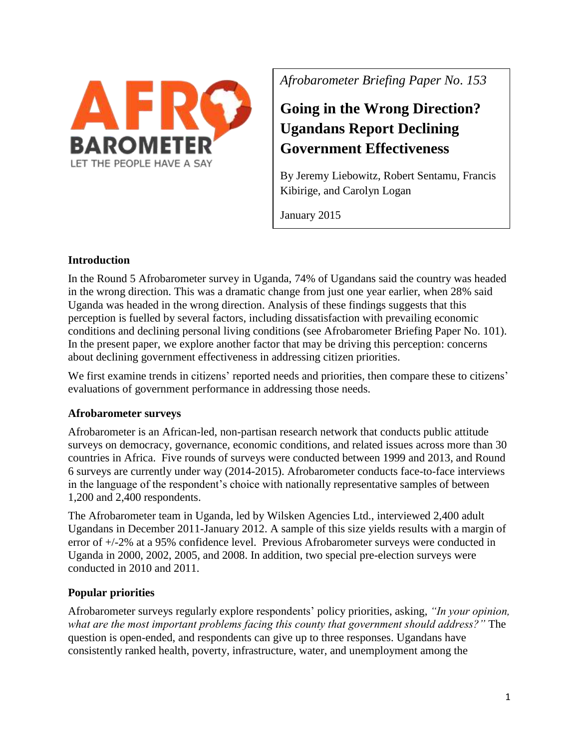

*Afrobarometer Briefing Paper No. 153*

# **Going in the Wrong Direction? Ugandans Report Declining Government Effectiveness**

By Jeremy Liebowitz, Robert Sentamu, Francis Kibirige, and Carolyn Logan

January 2015

# **Introduction**

In the Round 5 Afrobarometer survey in Uganda, 74% of Ugandans said the country was headed in the wrong direction. This was a dramatic change from just one year earlier, when 28% said Uganda was headed in the wrong direction. Analysis of these findings suggests that this perception is fuelled by several factors, including dissatisfaction with prevailing economic conditions and declining personal living conditions (see Afrobarometer Briefing Paper No. 101). In the present paper, we explore another factor that may be driving this perception: concerns about declining government effectiveness in addressing citizen priorities.

We first examine trends in citizens' reported needs and priorities, then compare these to citizens' evaluations of government performance in addressing those needs.

## **Afrobarometer surveys**

Afrobarometer is an African-led, non-partisan research network that conducts public attitude surveys on democracy, governance, economic conditions, and related issues across more than 30 countries in Africa. Five rounds of surveys were conducted between 1999 and 2013, and Round 6 surveys are currently under way (2014-2015). Afrobarometer conducts face-to-face interviews in the language of the respondent's choice with nationally representative samples of between 1,200 and 2,400 respondents.

The Afrobarometer team in Uganda, led by Wilsken Agencies Ltd., interviewed 2,400 adult Ugandans in December 2011-January 2012. A sample of this size yields results with a margin of error of +/-2% at a 95% confidence level. Previous Afrobarometer surveys were conducted in Uganda in 2000, 2002, 2005, and 2008. In addition, two special pre-election surveys were conducted in 2010 and 2011.

# **Popular priorities**

Afrobarometer surveys regularly explore respondents' policy priorities, asking, *"In your opinion, what are the most important problems facing this county that government should address?"* The question is open-ended, and respondents can give up to three responses. Ugandans have consistently ranked health, poverty, infrastructure, water, and unemployment among the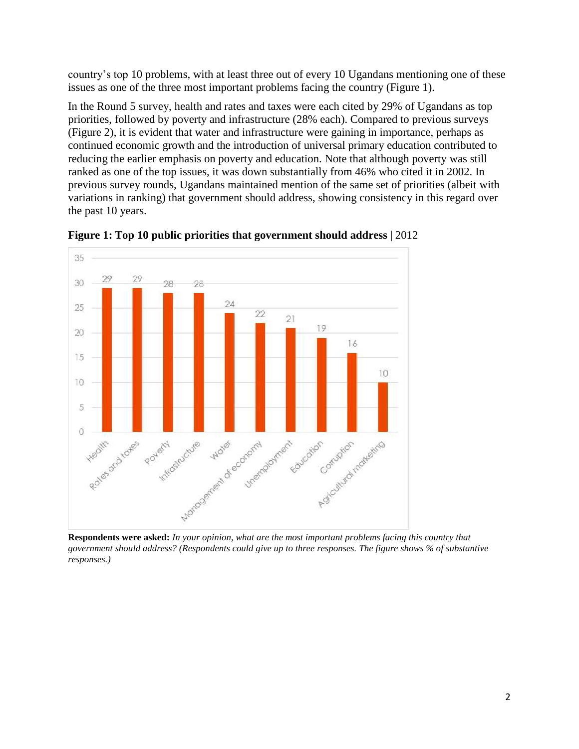country's top 10 problems, with at least three out of every 10 Ugandans mentioning one of these issues as one of the three most important problems facing the country (Figure 1).

In the Round 5 survey, health and rates and taxes were each cited by 29% of Ugandans as top priorities, followed by poverty and infrastructure (28% each). Compared to previous surveys (Figure 2), it is evident that water and infrastructure were gaining in importance, perhaps as continued economic growth and the introduction of universal primary education contributed to reducing the earlier emphasis on poverty and education. Note that although poverty was still ranked as one of the top issues, it was down substantially from 46% who cited it in 2002. In previous survey rounds, Ugandans maintained mention of the same set of priorities (albeit with variations in ranking) that government should address, showing consistency in this regard over the past 10 years.



**Figure 1: Top 10 public priorities that government should address** | 2012

**Respondents were asked:** *In your opinion, what are the most important problems facing this country that government should address? (Respondents could give up to three responses. The figure shows % of substantive responses.)*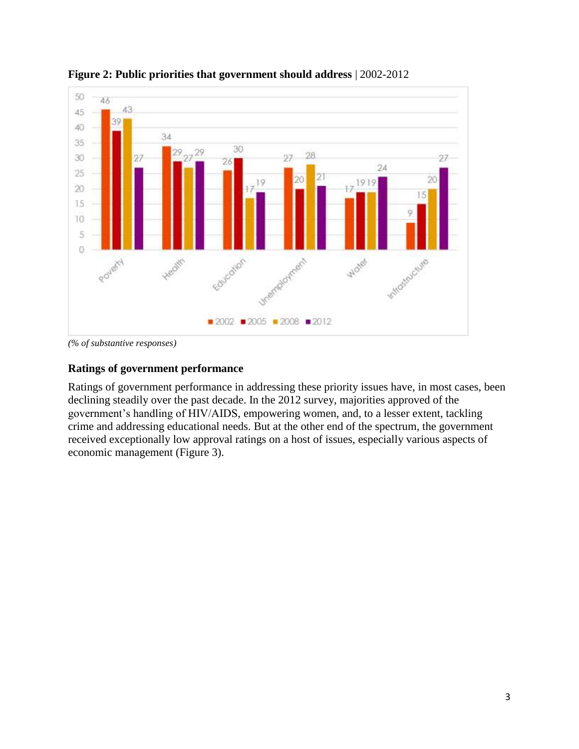

**Figure 2: Public priorities that government should address** | 2002-2012

*(% of substantive responses)*

#### **Ratings of government performance**

Ratings of government performance in addressing these priority issues have, in most cases, been declining steadily over the past decade. In the 2012 survey, majorities approved of the government's handling of HIV/AIDS, empowering women, and, to a lesser extent, tackling crime and addressing educational needs. But at the other end of the spectrum, the government received exceptionally low approval ratings on a host of issues, especially various aspects of economic management (Figure 3).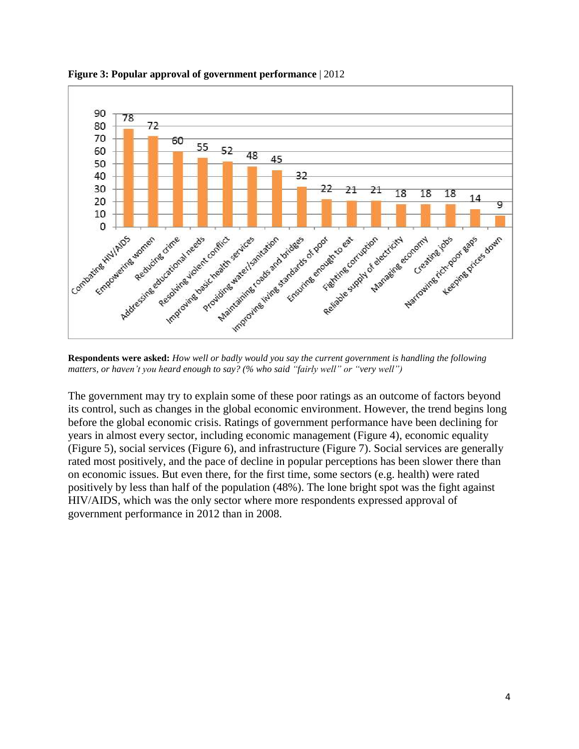

**Figure 3: Popular approval of government performance** | 2012

**Respondents were asked:** *How well or badly would you say the current government is handling the following matters, or haven't you heard enough to say? (% who said "fairly well" or "very well")*

The government may try to explain some of these poor ratings as an outcome of factors beyond its control, such as changes in the global economic environment. However, the trend begins long before the global economic crisis. Ratings of government performance have been declining for years in almost every sector, including economic management (Figure 4), economic equality (Figure 5), social services (Figure 6), and infrastructure (Figure 7). Social services are generally rated most positively, and the pace of decline in popular perceptions has been slower there than on economic issues. But even there, for the first time, some sectors (e.g. health) were rated positively by less than half of the population (48%). The lone bright spot was the fight against HIV/AIDS, which was the only sector where more respondents expressed approval of government performance in 2012 than in 2008.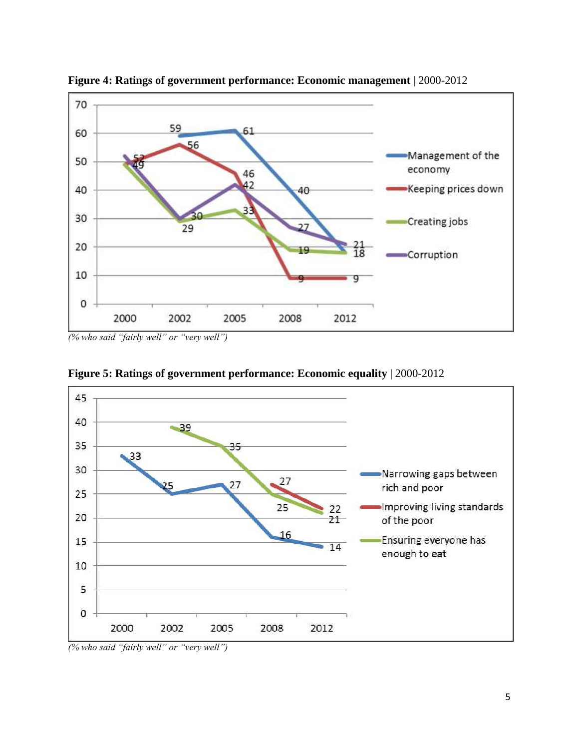



*(% who said "fairly well" or "very well")*



**Figure 5: Ratings of government performance: Economic equality** | 2000-2012

*(% who said "fairly well" or "very well")*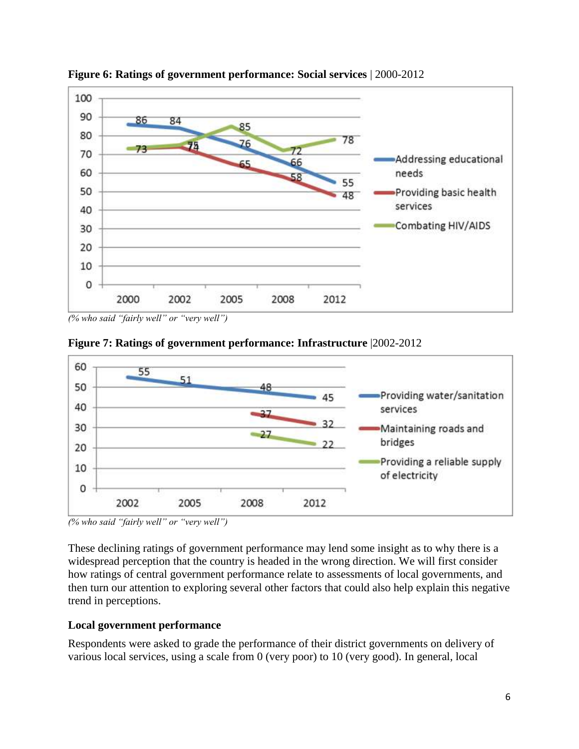

**Figure 6: Ratings of government performance: Social services** | 2000-2012

*(% who said "fairly well" or "very well")*





*(% who said "fairly well" or "very well")*

These declining ratings of government performance may lend some insight as to why there is a widespread perception that the country is headed in the wrong direction. We will first consider how ratings of central government performance relate to assessments of local governments, and then turn our attention to exploring several other factors that could also help explain this negative trend in perceptions.

## **Local government performance**

Respondents were asked to grade the performance of their district governments on delivery of various local services, using a scale from 0 (very poor) to 10 (very good). In general, local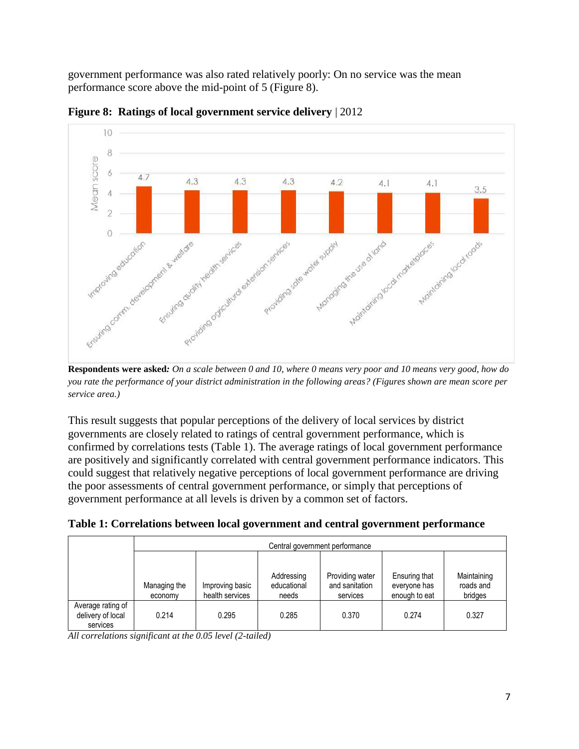government performance was also rated relatively poorly: On no service was the mean performance score above the mid-point of 5 (Figure 8).



**Figure 8: Ratings of local government service delivery** | 2012

**Respondents were asked***: On a scale between 0 and 10, where 0 means very poor and 10 means very good, how do you rate the performance of your district administration in the following areas? (Figures shown are mean score per service area.)*

This result suggests that popular perceptions of the delivery of local services by district governments are closely related to ratings of central government performance, which is confirmed by correlations tests (Table 1). The average ratings of local government performance are positively and significantly correlated with central government performance indicators. This could suggest that relatively negative perceptions of local government performance are driving the poor assessments of central government performance, or simply that perceptions of government performance at all levels is driven by a common set of factors.

|                                                    | Central government performance |                                    |                                    |                                               |                                                |                                     |
|----------------------------------------------------|--------------------------------|------------------------------------|------------------------------------|-----------------------------------------------|------------------------------------------------|-------------------------------------|
|                                                    |                                |                                    |                                    |                                               |                                                |                                     |
|                                                    | Managing the<br>economy        | Improving basic<br>health services | Addressing<br>educational<br>needs | Providing water<br>and sanitation<br>services | Ensuring that<br>everyone has<br>enough to eat | Maintaining<br>roads and<br>bridges |
| Average rating of<br>delivery of local<br>services | 0.214                          | 0.295                              | 0.285                              | 0.370                                         | 0.274                                          | 0.327                               |

**Table 1: Correlations between local government and central government performance**

*All correlations significant at the 0.05 level (2-tailed)*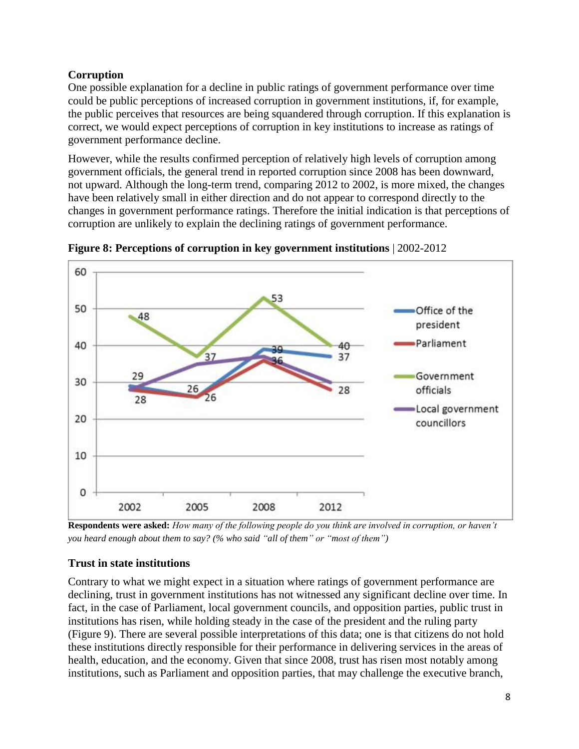# **Corruption**

One possible explanation for a decline in public ratings of government performance over time could be public perceptions of increased corruption in government institutions, if, for example, the public perceives that resources are being squandered through corruption. If this explanation is correct, we would expect perceptions of corruption in key institutions to increase as ratings of government performance decline.

However, while the results confirmed perception of relatively high levels of corruption among government officials, the general trend in reported corruption since 2008 has been downward, not upward. Although the long-term trend, comparing 2012 to 2002, is more mixed, the changes have been relatively small in either direction and do not appear to correspond directly to the changes in government performance ratings. Therefore the initial indication is that perceptions of corruption are unlikely to explain the declining ratings of government performance.



**Figure 8: Perceptions of corruption in key government institutions** | 2002-2012

**Respondents were asked:** *How many of the following people do you think are involved in corruption, or haven't you heard enough about them to say? (% who said "all of them" or "most of them")*

# **Trust in state institutions**

Contrary to what we might expect in a situation where ratings of government performance are declining, trust in government institutions has not witnessed any significant decline over time. In fact, in the case of Parliament, local government councils, and opposition parties, public trust in institutions has risen, while holding steady in the case of the president and the ruling party (Figure 9). There are several possible interpretations of this data; one is that citizens do not hold these institutions directly responsible for their performance in delivering services in the areas of health, education, and the economy. Given that since 2008, trust has risen most notably among institutions, such as Parliament and opposition parties, that may challenge the executive branch,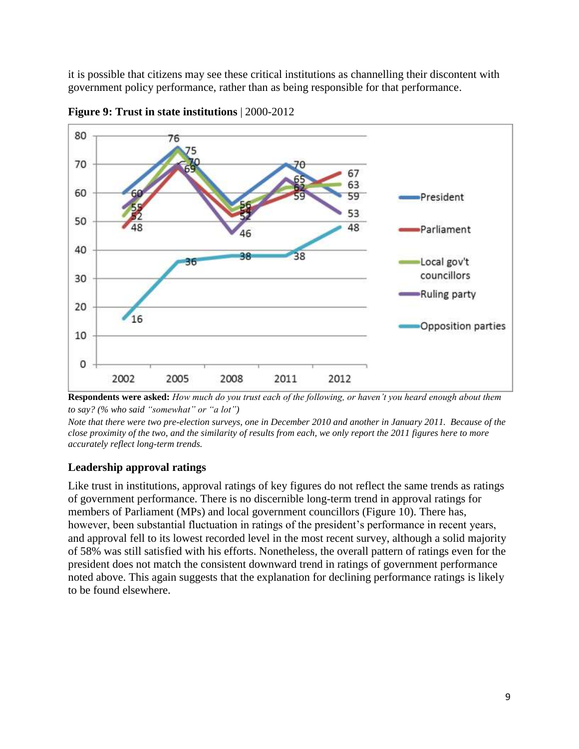it is possible that citizens may see these critical institutions as channelling their discontent with government policy performance, rather than as being responsible for that performance.



**Figure 9: Trust in state institutions** | 2000-2012



*Note that there were two pre-election surveys, one in December 2010 and another in January 2011. Because of the close proximity of the two, and the similarity of results from each, we only report the 2011 figures here to more accurately reflect long-term trends.*

#### **Leadership approval ratings**

Like trust in institutions, approval ratings of key figures do not reflect the same trends as ratings of government performance. There is no discernible long-term trend in approval ratings for members of Parliament (MPs) and local government councillors (Figure 10). There has, however, been substantial fluctuation in ratings of the president's performance in recent years, and approval fell to its lowest recorded level in the most recent survey, although a solid majority of 58% was still satisfied with his efforts. Nonetheless, the overall pattern of ratings even for the president does not match the consistent downward trend in ratings of government performance noted above. This again suggests that the explanation for declining performance ratings is likely to be found elsewhere.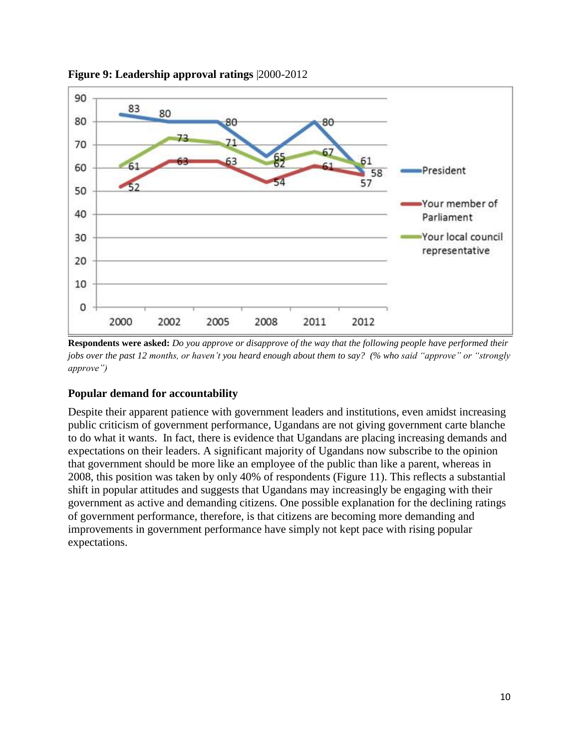

**Figure 9: Leadership approval ratings** |2000-2012

**Respondents were asked:** *Do you approve or disapprove of the way that the following people have performed their jobs over the past 12 months, or haven't you heard enough about them to say? (% who said "approve" or "strongly approve")*

#### **Popular demand for accountability**

Despite their apparent patience with government leaders and institutions, even amidst increasing public criticism of government performance, Ugandans are not giving government carte blanche to do what it wants. In fact, there is evidence that Ugandans are placing increasing demands and expectations on their leaders. A significant majority of Ugandans now subscribe to the opinion that government should be more like an employee of the public than like a parent, whereas in 2008, this position was taken by only 40% of respondents (Figure 11). This reflects a substantial shift in popular attitudes and suggests that Ugandans may increasingly be engaging with their government as active and demanding citizens. One possible explanation for the declining ratings of government performance, therefore, is that citizens are becoming more demanding and improvements in government performance have simply not kept pace with rising popular expectations.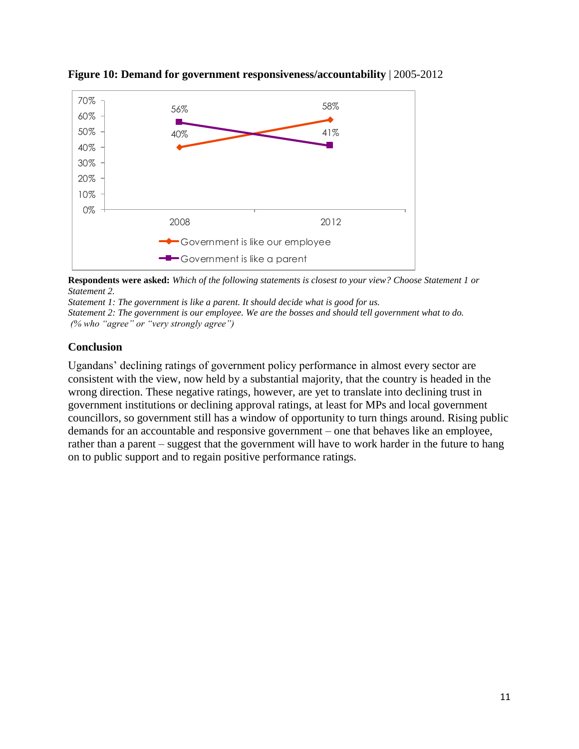

**Figure 10: Demand for government responsiveness/accountability** | 2005-2012

**Respondents were asked:** *Which of the following statements is closest to your view? Choose Statement 1 or Statement 2.*

*Statement 1: The government is like a parent. It should decide what is good for us. Statement 2: The government is our employee. We are the bosses and should tell government what to do. (% who "agree" or "very strongly agree")*

## **Conclusion**

Ugandans' declining ratings of government policy performance in almost every sector are consistent with the view, now held by a substantial majority, that the country is headed in the wrong direction. These negative ratings, however, are yet to translate into declining trust in government institutions or declining approval ratings, at least for MPs and local government councillors, so government still has a window of opportunity to turn things around. Rising public demands for an accountable and responsive government – one that behaves like an employee, rather than a parent – suggest that the government will have to work harder in the future to hang on to public support and to regain positive performance ratings.